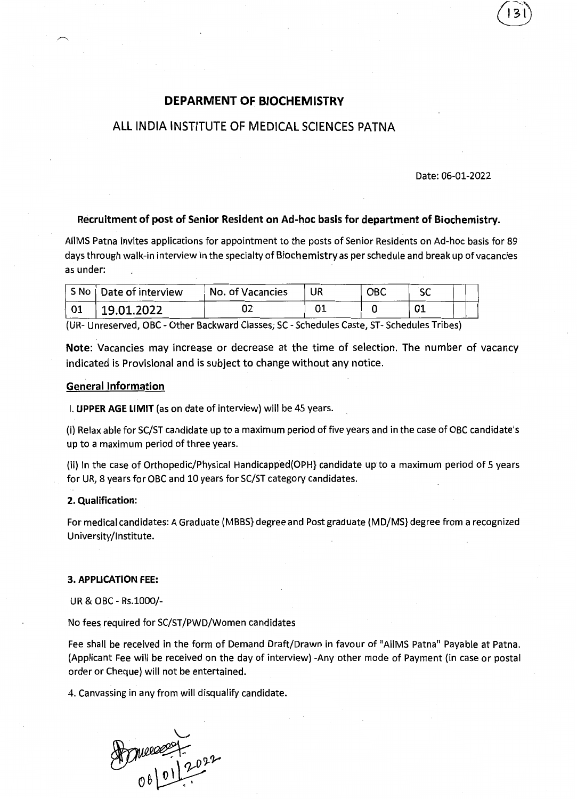# DEPARMENT OF BIOCHEMISTRY

# ALL INDIA INSTITUTE OF MEDICAL SCIENCES PATNA

## Date: 06-01-2022

#### Recruitment of post of Senior Resident on Ad-hoc basis for department of Biochemistry.

AllMS Patna invites applications for appointment to the posts of Senior Residents on Ad-hoc basis for 89 days through walk~in interview in the specialty of Biochemistry as per schedule and break up of vacancies as under:

| S No Date of interview | No. of Vacancies | UR | овс |    |  |
|------------------------|------------------|----|-----|----|--|
| 19.01.2022             |                  |    |     | 01 |  |

(UR- Unreserved, OBC - Other Backward Classes; SC - Schedules Caste, ST- Schedules Tribes)

Note: Vacancies may increase or decrease at the time of selection. The number of vacancy indicated is Provisional and is subject to change without any notice.

### General Information

I. UPPER AGE LIMIT (as on date of interview) will be 45 years.

(i) Relax able for SC/ST candidate up to a maximum period of five years and in the case of OBC candidate's up to a maximum period of three years.

(ii) In the case of Orthopedic/Physical Handicapped(OPH} candidate up to a maximum period of 5 years for UR, 8 years for OBC and 10 years for SC/ST category candidates.

### 2. Qualification:

For medical candidates: A Graduate (MBBS} degree and Post graduate (MD/MS} degree from a recognized University/Institute.

#### 3. APPLICATION FEE:

UR & OBC - Rs.1000/-

No fees required for SC/ST/PWD/Women candidates

Fee shall be received in the form of Demand Draft/Drawn in favour of "AllMS Patna" Payable at Patna. (Applicant Fee will be received on the day of interview) -Any other mode of Payment (in case or postal order or Cheque) will not be entertained.

4. Canvassing in any from will disqualify candidate.

Doncesset